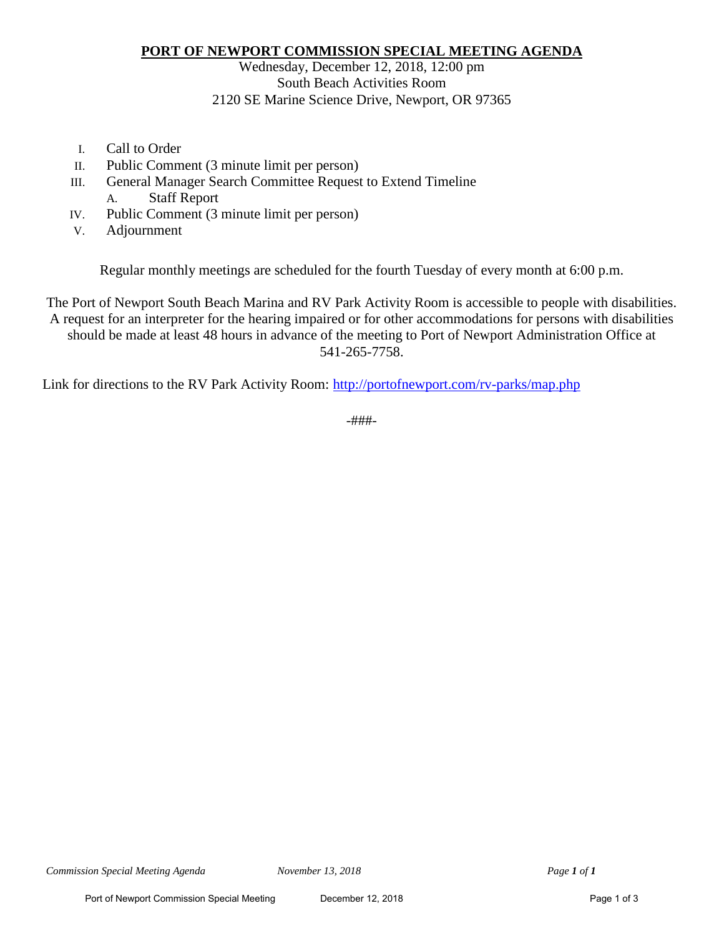### **PORT OF NEWPORT COMMISSION SPECIAL MEETING AGENDA**

## Wednesday, December 12, 2018, 12:00 pm South Beach Activities Room 2120 SE Marine Science Drive, Newport, OR 97365

- I. Call to Order
- II. Public Comment (3 minute limit per person)
- III. General Manager Search Committee Request to Extend Timeline A. Staff Report
- IV. Public Comment (3 minute limit per person)
- V. Adjournment

Regular monthly meetings are scheduled for the fourth Tuesday of every month at 6:00 p.m.

The Port of Newport South Beach Marina and RV Park Activity Room is accessible to people with disabilities. A request for an interpreter for the hearing impaired or for other accommodations for persons with disabilities should be made at least 48 hours in advance of the meeting to Port of Newport Administration Office at 541-265-7758.

Link for directions to the RV Park Activity Room:<http://portofnewport.com/rv-parks/map.php>

-###-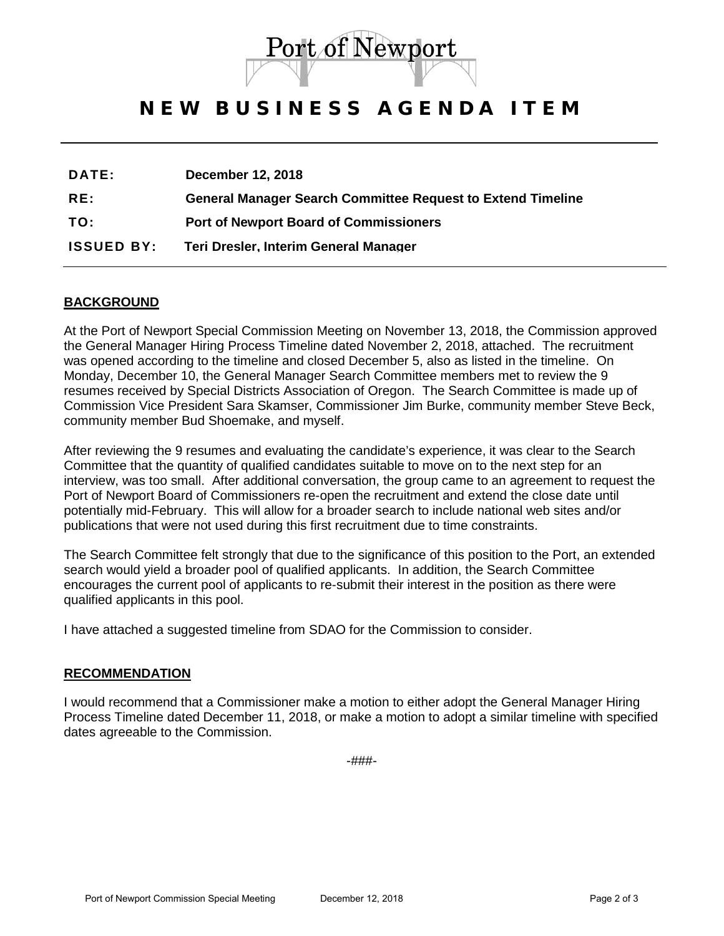

## NEW BUSINESS AGENDA ITEM

| <b>DATE:</b>      | <b>December 12, 2018</b>                                           |
|-------------------|--------------------------------------------------------------------|
| RE:               | <b>General Manager Search Committee Request to Extend Timeline</b> |
| TO:               | <b>Port of Newport Board of Commissioners</b>                      |
| <b>ISSUED BY:</b> | Teri Dresler, Interim General Manager                              |

### **BACKGROUND**

At the Port of Newport Special Commission Meeting on November 13, 2018, the Commission approved the General Manager Hiring Process Timeline dated November 2, 2018, attached. The recruitment was opened according to the timeline and closed December 5, also as listed in the timeline. On Monday, December 10, the General Manager Search Committee members met to review the 9 resumes received by Special Districts Association of Oregon. The Search Committee is made up of Commission Vice President Sara Skamser, Commissioner Jim Burke, community member Steve Beck, community member Bud Shoemake, and myself.

After reviewing the 9 resumes and evaluating the candidate's experience, it was clear to the Search Committee that the quantity of qualified candidates suitable to move on to the next step for an interview, was too small. After additional conversation, the group came to an agreement to request the Port of Newport Board of Commissioners re-open the recruitment and extend the close date until potentially mid-February. This will allow for a broader search to include national web sites and/or publications that were not used during this first recruitment due to time constraints.

The Search Committee felt strongly that due to the significance of this position to the Port, an extended search would yield a broader pool of qualified applicants. In addition, the Search Committee encourages the current pool of applicants to re-submit their interest in the position as there were qualified applicants in this pool.

I have attached a suggested timeline from SDAO for the Commission to consider.

#### **RECOMMENDATION**

I would recommend that a Commissioner make a motion to either adopt the General Manager Hiring Process Timeline dated December 11, 2018, or make a motion to adopt a similar timeline with specified dates agreeable to the Commission.

-###-